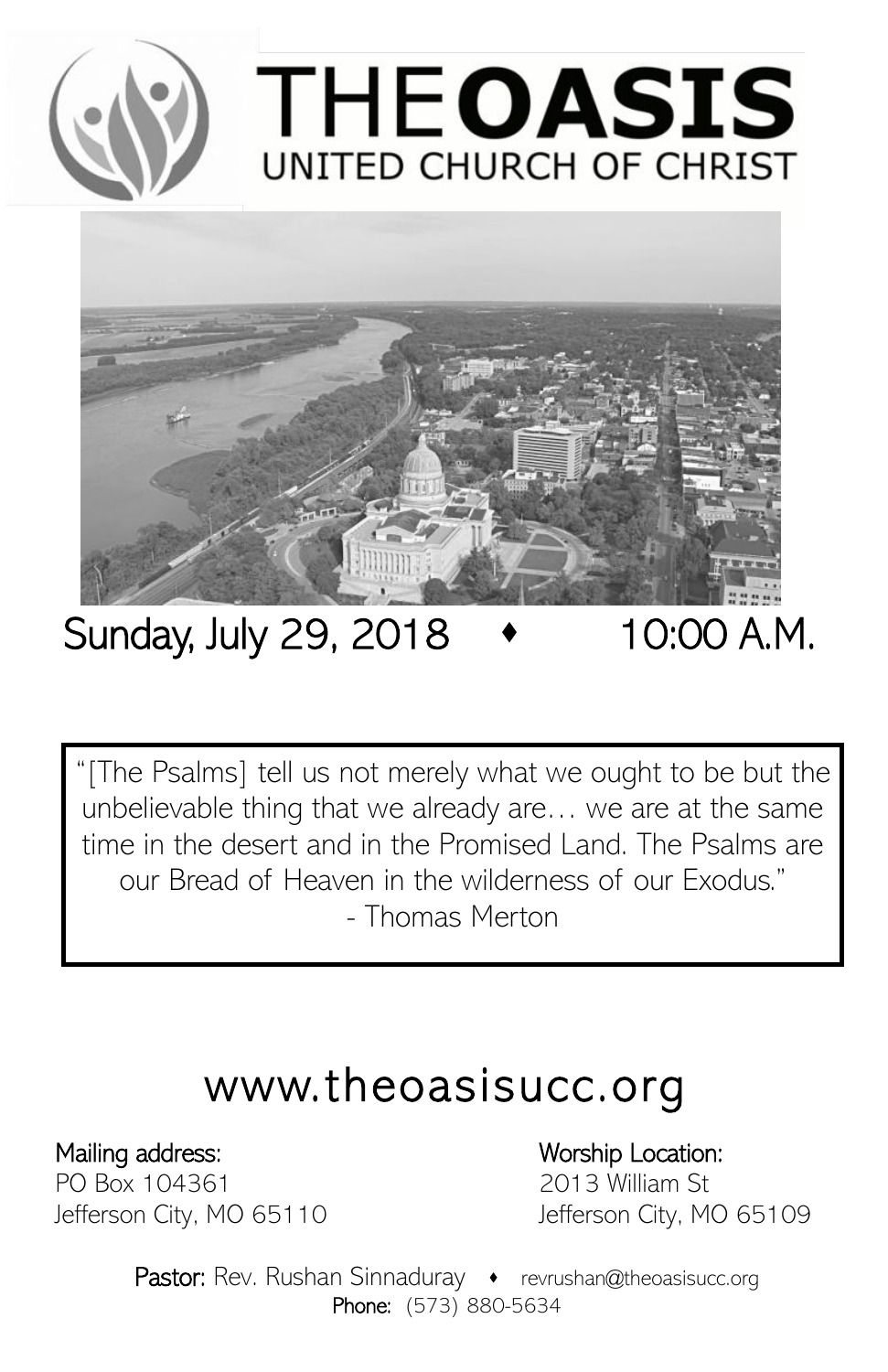



# Sunday, July 29, 2018 <br>  $\bullet$  10:00 A.M.

"[The Psalms] tell us not merely what we ought to be but the unbelievable thing that we already are… we are at the same time in the desert and in the Promised Land. The Psalms are our Bread of Heaven in the wilderness of our Exodus." - Thomas Merton

# www.theoasisucc.org

PO Box 104361 2013 William St

# Mailing address: Worship Location:

Jefferson City, MO 65110 Jefferson City, MO 65109

Pastor: Rev. Rushan Sinnaduray • revrushan@theoasisucc.org Phone: (573) 880-5634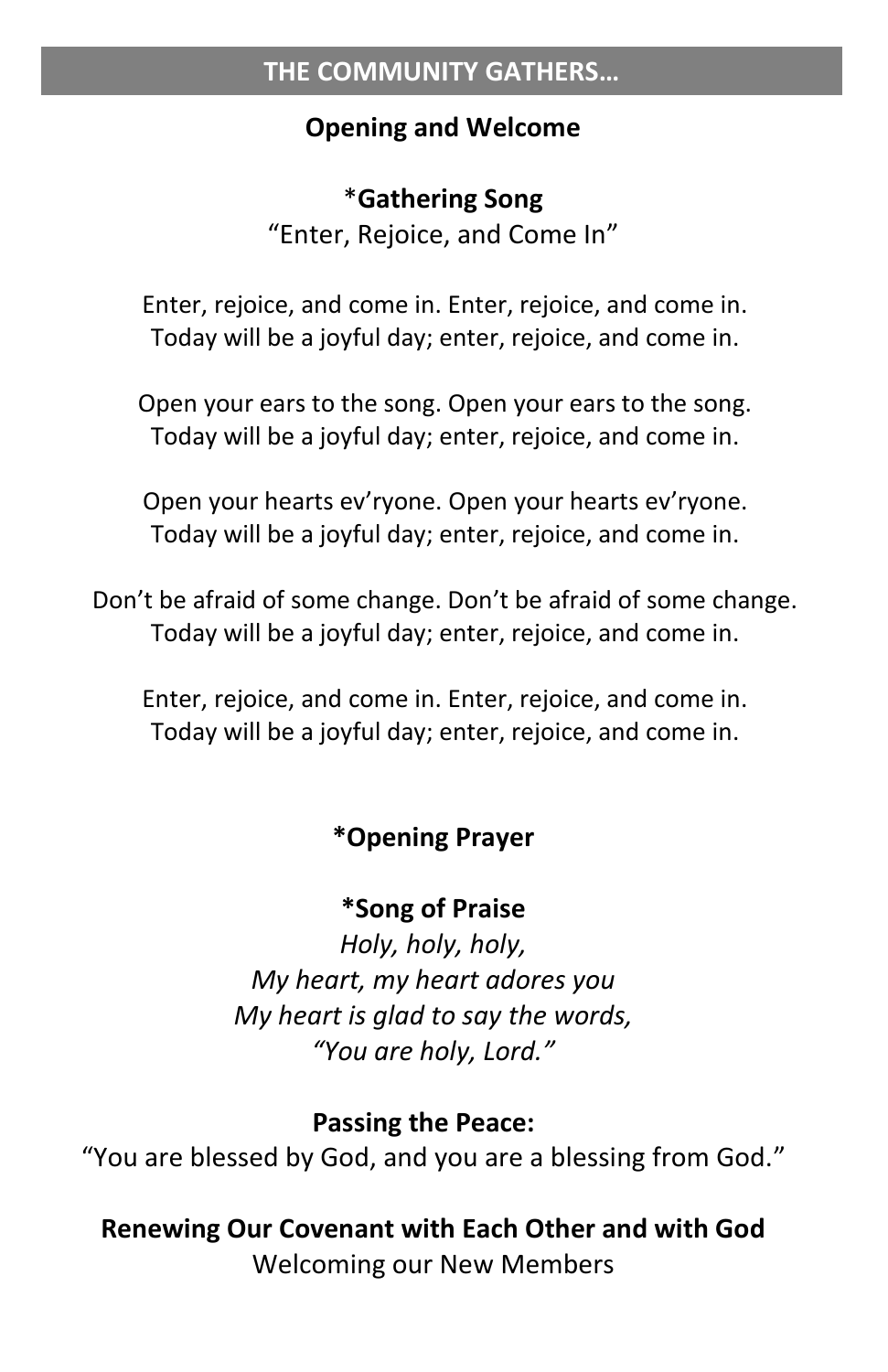### **Opening and Welcome**

## \***Gathering Song**

"Enter, Rejoice, and Come In"

Enter, rejoice, and come in. Enter, rejoice, and come in. Today will be a joyful day; enter, rejoice, and come in.

Open your ears to the song. Open your ears to the song. Today will be a joyful day; enter, rejoice, and come in.

Open your hearts ev'ryone. Open your hearts ev'ryone. Today will be a joyful day; enter, rejoice, and come in.

Don't be afraid of some change. Don't be afraid of some change. Today will be a joyful day; enter, rejoice, and come in.

Enter, rejoice, and come in. Enter, rejoice, and come in. Today will be a joyful day; enter, rejoice, and come in.

# **\*Opening Prayer**

# **\*Song of Praise**

*Holy, holy, holy, My heart, my heart adores you My heart is glad to say the words, "You are holy, Lord."*

#### **Passing the Peace:**

"You are blessed by God, and you are a blessing from God."

# **Renewing Our Covenant with Each Other and with God**

Welcoming our New Members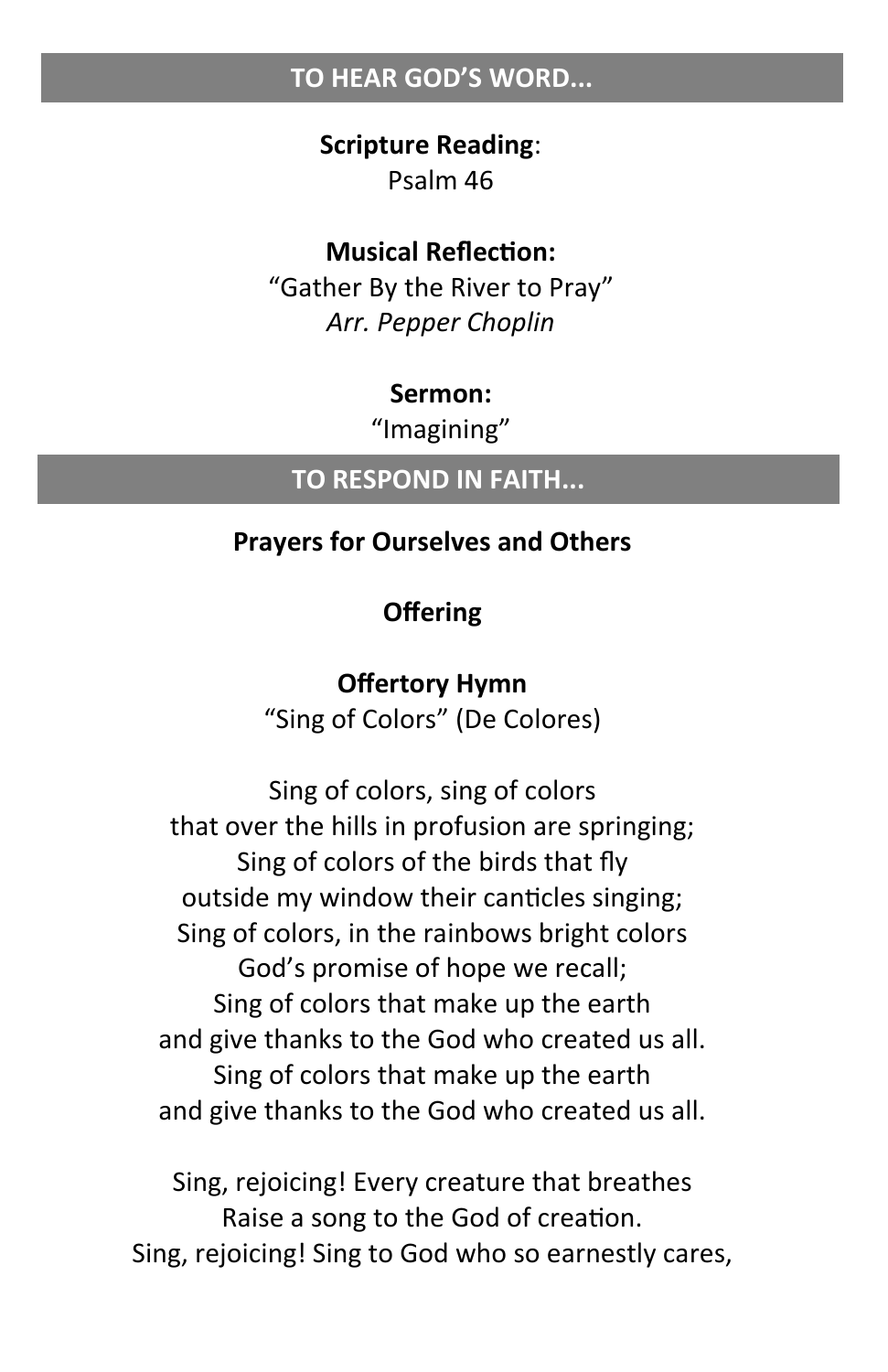#### **TO HEAR GOD'S WORD...**

#### **Scripture Reading**: Psalm 46

#### **Musical Reflection:**

"Gather By the River to Pray" *Arr. Pepper Choplin*

#### **Sermon:**

"Imagining"

#### **TO RESPOND IN FAITH...**

#### **Prayers for Ourselves and Others**

#### **Offering**

#### **Offertory Hymn**

"Sing of Colors" (De Colores)

Sing of colors, sing of colors that over the hills in profusion are springing; Sing of colors of the birds that fly outside my window their canticles singing; Sing of colors, in the rainbows bright colors God's promise of hope we recall; Sing of colors that make up the earth and give thanks to the God who created us all. Sing of colors that make up the earth and give thanks to the God who created us all.

Sing, rejoicing! Every creature that breathes Raise a song to the God of creation. Sing, rejoicing! Sing to God who so earnestly cares,